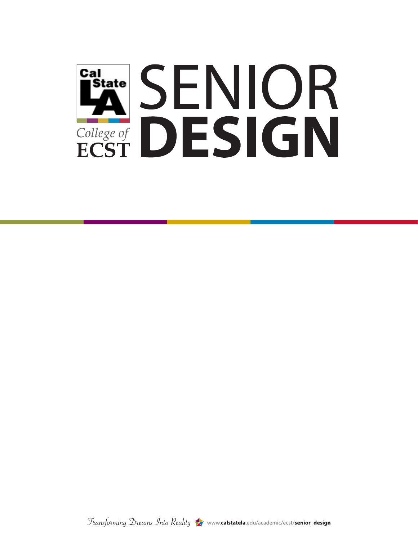# **Call SENIOR**<br>College of **DESIGN**

Transforming Dreams Into Reality N www.calstatela.edu/academic/ecst/senior\_design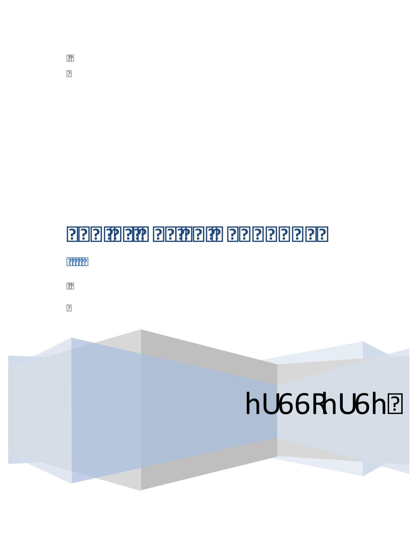$\boxed{?}$  $\overline{?}$ 

# 

**ETTIT?** 

 $|P|$ 

 $\overline{\mathbf{S}}$ 

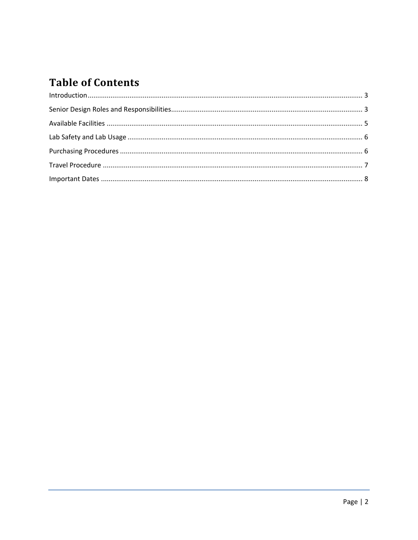# **Table of Contents**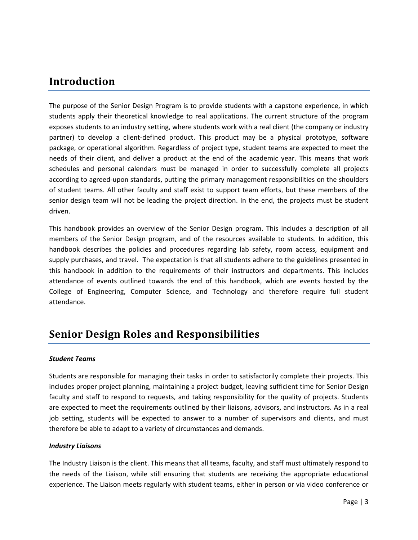# **Introduction**

The purpose of the Senior Design Program is to provide students with a capstone experience, in which students apply their theoretical knowledge to real applications. The current structure of the program exposes students to an industry setting, where students work with a real client (the company or industry partner) to develop a client-defined product. This product may be a physical prototype, software package, or operational algorithm. Regardless of project type, student teams are expected to meet the needs of their client, and deliver a product at the end of the academic year. This means that work schedules and personal calendars must be managed in order to successfully complete all projects according to agreed-upon standards, putting the primary management responsibilities on the shoulders of student teams. All other faculty and staff exist to support team efforts, but these members of the senior design team will not be leading the project direction. In the end, the projects must be student driven.

This handbook provides an overview of the Senior Design program. This includes a description of all members of the Senior Design program, and of the resources available to students. In addition, this handbook describes the policies and procedures regarding lab safety, room access, equipment and supply purchases, and travel. The expectation is that all students adhere to the guidelines presented in this handbook in addition to the requirements of their instructors and departments. This includes attendance of events outlined towards the end of this handbook, which are events hosted by the College of Engineering, Computer Science, and Technology and therefore require full student attendance.

# **Senior Design Roles and Responsibilities**

#### *Student'Teams'*

Students are responsible for managing their tasks in order to satisfactorily complete their projects. This includes proper project planning, maintaining a project budget, leaving sufficient time for Senior Design faculty and staff to respond to requests, and taking responsibility for the quality of projects. Students are expected to meet the requirements outlined by their liaisons, advisors, and instructors. As in a real job setting, students will be expected to answer to a number of supervisors and clients, and must therefore be able to adapt to a variety of circumstances and demands.

#### *Industry'Liaisons*

The Industry Liaison is the client. This means that all teams, faculty, and staff must ultimately respond to the needs of the Liaison, while still ensuring that students are receiving the appropriate educational experience. The Liaison meets regularly with student teams, either in person or via video conference or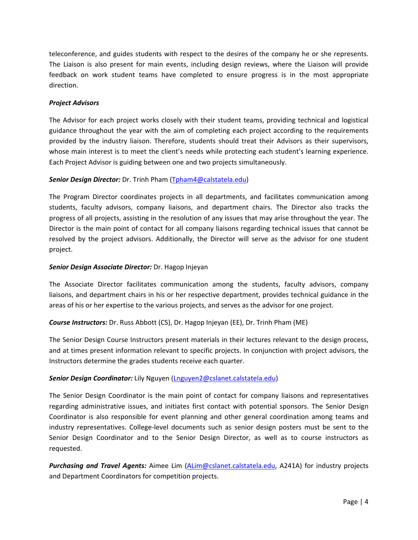teleconference, and guides students with respect to the desires of the company he or she represents. The Liaison is also present for main events, including design reviews, where the Liaison will provide feedback on work student teams have completed to ensure progress is in the most appropriate direction.

#### *Project'Advisors*

The Advisor for each project works closely with their student teams, providing technical and logistical guidance throughout the year with the aim of completing each project according to the requirements provided by the industry liaison. Therefore, students should treat their Advisors as their supervisors, whose main interest is to meet the client's needs while protecting each student's learning experience. Each Project Advisor is guiding between one and two projects simultaneously.

#### Senior Design Director: Dr. Trinh Pham (Tpham4@calstatela.edu)

The Program Director coordinates projects in all departments, and facilitates communication among students, faculty advisors, company liaisons, and department chairs. The Director also tracks the progress of all projects, assisting in the resolution of any issues that may arise throughout the year. The Director is the main point of contact for all company liaisons regarding technical issues that cannot be resolved by the project advisors. Additionally, the Director will serve as the advisor for one student project.

#### Senior Design Associate Director: Dr. Hagop Injeyan

The Associate Director facilitates communication among the students, faculty advisors, company liaisons, and department chairs in his or her respective department, provides technical guidance in the areas of his or her expertise to the various projects, and serves as the advisor for one project.

#### Course Instructors: Dr. Russ Abbott (CS), Dr. Hagop Injeyan (EE), Dr. Trinh Pham (ME)

The Senior Design Course Instructors present materials in their lectures relevant to the design process, and at times present information relevant to specific projects. In conjunction with project advisors, the Instructors determine the grades students receive each quarter.

#### Senior Design Coordinator: Lily Nguyen (Lnguyen2@cslanet.calstatela.edu)

The Senior Design Coordinator is the main point of contact for company liaisons and representatives regarding administrative issues, and initiates first contact with potential sponsors. The Senior Design Coordinator is also responsible for event planning and other general coordination among teams and industry representatives. College-level documents such as senior design posters must be sent to the Senior Design Coordinator and to the Senior Design Director, as well as to course instructors as requested.

*Purchasing and Travel Agents: Aimee Lim (ALim@cslanet.calstatela.edu, A241A) for industry projects* and Department Coordinators for competition projects.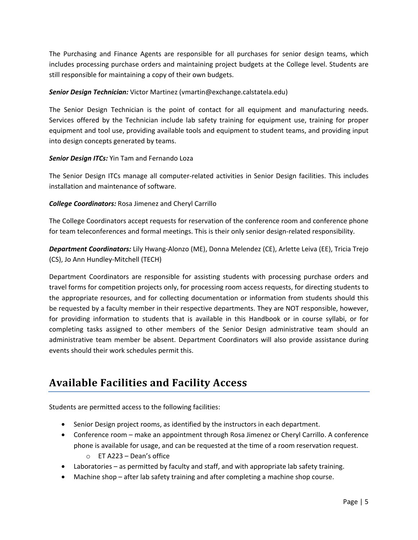The Purchasing and Finance Agents are responsible for all purchases for senior design teams, which includes processing purchase orders and maintaining project budgets at the College level. Students are still responsible for maintaining a copy of their own budgets.

#### *Senior'Design'Technician:* Victor!Martinez!(vmartin@exchange.calstatela.edu)

The Senior Design Technician is the point of contact for all equipment and manufacturing needs. Services offered by the Technician include lab safety training for equipment use, training for proper equipment and tool use, providing available tools and equipment to student teams, and providing input into design concepts generated by teams.

#### **Senior Design ITCs:** Yin Tam and Fernando Loza

The Senior Design ITCs manage all computer-related activities in Senior Design facilities. This includes installation and maintenance of software.

#### **College Coordinators:** Rosa Jimenez and Cheryl Carrillo

The College Coordinators accept requests for reservation of the conference room and conference phone for team teleconferences and formal meetings. This is their only senior design-related responsibility.

**Department Coordinators:** Lily Hwang-Alonzo (ME), Donna Melendez (CE), Arlette Leiva (EE), Tricia Trejo (CS), Jo Ann Hundley-Mitchell (TECH)

Department Coordinators are responsible for assisting students with processing purchase orders and travel forms for competition projects only, for processing room access requests, for directing students to the appropriate resources, and for collecting documentation or information from students should this be requested by a faculty member in their respective departments. They are NOT responsible, however, for providing information to students that is available in this Handbook or in course syllabi, or for completing tasks assigned to other members of the Senior Design administrative team should an administrative team member be absent. Department Coordinators will also provide assistance during events should their work schedules permit this.

# **Available&Facilities&and&Facility&Access**

Students are permitted access to the following facilities:

- Senior Design project rooms, as identified by the instructors in each department.
- Conference room make an appointment through Rosa Jimenez or Cheryl Carrillo. A conference phone is available for usage, and can be requested at the time of a room reservation request.  $\circ$  ET A223 – Dean's office
- Laboratories as permitted by faculty and staff, and with appropriate lab safety training.
- Machine shop after lab safety training and after completing a machine shop course.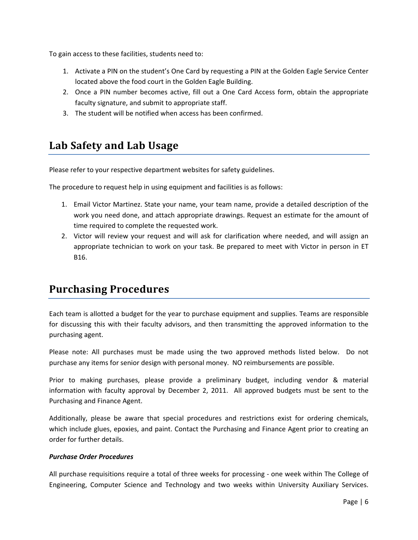To gain access to these facilities, students need to:

- 1. Activate a PIN on the student's One Card by requesting a PIN at the Golden Eagle Service Center located above the food court in the Golden Eagle Building.
- 2. Once a PIN number becomes active, fill out a One Card Access form, obtain the appropriate faculty signature, and submit to appropriate staff.
- 3. The student will be notified when access has been confirmed.

# Lab Safety and Lab Usage

Please refer to your respective department websites for safety guidelines.

The procedure to request help in using equipment and facilities is as follows:

- 1. Email Victor Martinez. State your name, your team name, provide a detailed description of the work you need done, and attach appropriate drawings. Request an estimate for the amount of time required to complete the requested work.
- 2. Victor will review your request and will ask for clarification where needed, and will assign an appropriate technician to work on your task. Be prepared to meet with Victor in person in ET B16.

# **Purchasing Procedures**

Each team is allotted a budget for the year to purchase equipment and supplies. Teams are responsible for discussing this with their faculty advisors, and then transmitting the approved information to the purchasing agent.

Please note: All purchases must be made using the two approved methods listed below. Do not purchase any items for senior design with personal money. NO reimbursements are possible.

Prior to making purchases, please provide a preliminary budget, including vendor & material information with faculty approval by December 2, 2011. All approved budgets must be sent to the Purchasing and Finance Agent.

Additionally, please be aware that special procedures and restrictions exist for ordering chemicals, which include glues, epoxies, and paint. Contact the Purchasing and Finance Agent prior to creating an order for further details.

#### **Purchase Order Procedures**

All purchase requisitions require a total of three weeks for processing - one week within The College of Engineering, Computer Science and Technology and two weeks within University Auxiliary Services.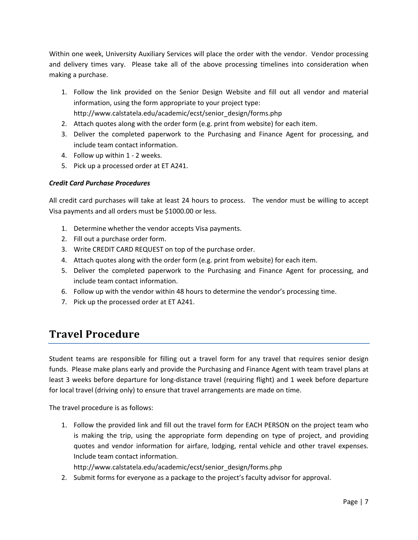Within one week, University Auxiliary Services will place the order with the vendor. Vendor processing and delivery times vary. Please take all of the above processing timelines into consideration when making a purchase.

- 1. Follow the link provided on the Senior Design Website and fill out all vendor and material information, using the form appropriate to your project type: http://www.calstatela.edu/academic/ecst/senior\_design/forms.php
- 2. Attach quotes along with the order form (e.g. print from website) for each item.
- 3. Deliver the completed paperwork to the Purchasing and Finance Agent for processing, and include team contact information.
- 4. Follow up within 1 2 weeks.
- 5. Pick up a processed order at ET A241.

#### *Credit'Card'Purchase'Procedures*

All credit card purchases will take at least 24 hours to process. The vendor must be willing to accept Visa payments and all orders must be \$1000.00 or less.

- 1. Determine whether the vendor accepts Visa payments.
- 2. Fill out a purchase order form.
- 3. Write CREDIT CARD REQUEST on top of the purchase order.
- 4. Attach quotes along with the order form (e.g. print from website) for each item.
- 5. Deliver the completed paperwork to the Purchasing and Finance Agent for processing, and include team contact information.
- 6. Follow up with the vendor within 48 hours to determine the vendor's processing time.
- 7. Pick up the processed order at ET A241.

# **Travel Procedure**

Student teams are responsible for filling out a travel form for any travel that requires senior design funds. Please make plans early and provide the Purchasing and Finance Agent with team travel plans at least 3 weeks before departure for long-distance travel (requiring flight) and 1 week before departure for local travel (driving only) to ensure that travel arrangements are made on time.

The travel procedure is as follows:

1. Follow the provided link and fill out the travel form for EACH PERSON on the project team who is making the trip, using the appropriate form depending on type of project, and providing quotes and vendor information for airfare, lodging, rental vehicle and other travel expenses. Include team contact information.

http://www.calstatela.edu/academic/ecst/senior\_design/forms.php

2. Submit forms for everyone as a package to the project's faculty advisor for approval.